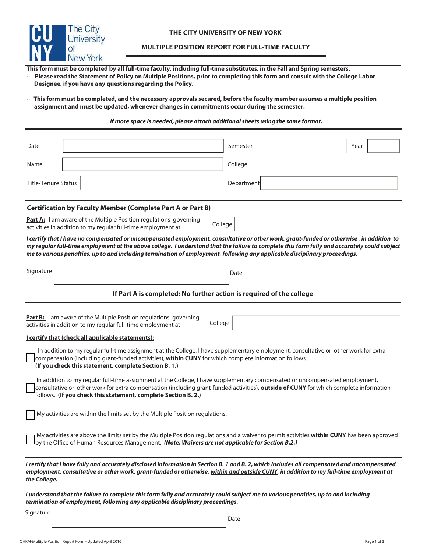

## **MULTIPLE POSITION REPORT FOR FULL-TIME FACULTY**

**This form must be completed by all full-time faculty, including full-time substitutes, in the Fall and Spring semesters.** 

**- Please read the Statement of Policy on Multiple Positions, prior to completing this form and consult with the College Labor Designee, if you have any questions regarding the Policy.**

- This form must be completed, and the necessary approvals secured, before the faculty member assumes a multiple position **assignment and must be updated, whenever changes in commitments occur during the semester.**

## *If more space is needed, please attach additional sheets using the same format.*

| Date                                                                                                                                                                                                                                                                                                                                                                                                                  | Semester   | Year |  |  |  |
|-----------------------------------------------------------------------------------------------------------------------------------------------------------------------------------------------------------------------------------------------------------------------------------------------------------------------------------------------------------------------------------------------------------------------|------------|------|--|--|--|
| Name                                                                                                                                                                                                                                                                                                                                                                                                                  | College    |      |  |  |  |
| <b>Title/Tenure Status</b>                                                                                                                                                                                                                                                                                                                                                                                            | Department |      |  |  |  |
| <b>Certification by Faculty Member (Complete Part A or Part B)</b>                                                                                                                                                                                                                                                                                                                                                    |            |      |  |  |  |
| Part A: I am aware of the Multiple Position regulations governing<br>activities in addition to my regular full-time employment at                                                                                                                                                                                                                                                                                     | College    |      |  |  |  |
| I certify that I have no compensated or uncompensated employment, consultative or other work, grant-funded or otherwise, in addition to<br>my regular full-time employment at the above college. I understand that the failure to complete this form fully and accurately could subject<br>me to various penalties, up to and including termination of employment, following any applicable disciplinary proceedings. |            |      |  |  |  |
| Signature                                                                                                                                                                                                                                                                                                                                                                                                             | Date       |      |  |  |  |
| If Part A is completed: No further action is required of the college                                                                                                                                                                                                                                                                                                                                                  |            |      |  |  |  |
|                                                                                                                                                                                                                                                                                                                                                                                                                       |            |      |  |  |  |
| <b>Part B:</b> I am aware of the Multiple Position regulations governing<br>activities in addition to my regular full-time employment at                                                                                                                                                                                                                                                                              | College    |      |  |  |  |
| I certify that (check all applicable statements):                                                                                                                                                                                                                                                                                                                                                                     |            |      |  |  |  |
| In addition to my regular full-time assignment at the College, I have supplementary employment, consultative or other work for extra<br>compensation (including grant-funded activities), within CUNY for which complete information follows.<br>(If you check this statement, complete Section B. 1.)                                                                                                                |            |      |  |  |  |
| In addition to my regular full-time assignment at the College, I have supplementary compensated or uncompensated employment,<br>consultative or other work for extra compensation (including grant-funded activities), outside of CUNY for which complete information<br>follows. (If you check this statement, complete Section B. 2.)                                                                               |            |      |  |  |  |
| My activities are within the limits set by the Multiple Position regulations.                                                                                                                                                                                                                                                                                                                                         |            |      |  |  |  |
| My activities are above the limits set by the Multiple Position regulations and a waiver to permit activities within CUNY has been approved<br>by the Office of Human Resources Management. (Note: Waivers are not applicable for Section B.2.)                                                                                                                                                                       |            |      |  |  |  |
| I certify that I have fully and accurately disclosed information in Section B. 1 and B. 2, which includes all compensated and uncompensated<br>employment, consultative or other work, grant-funded or otherwise, within and outside CUNY, in addition to my full-time employment at<br>the College.                                                                                                                  |            |      |  |  |  |
| I understand that the failure to complete this form fully and accurately could subject me to various penalties, up to and including<br>termination of employment, following any applicable disciplinary proceedings.                                                                                                                                                                                                  |            |      |  |  |  |
| Signature                                                                                                                                                                                                                                                                                                                                                                                                             |            |      |  |  |  |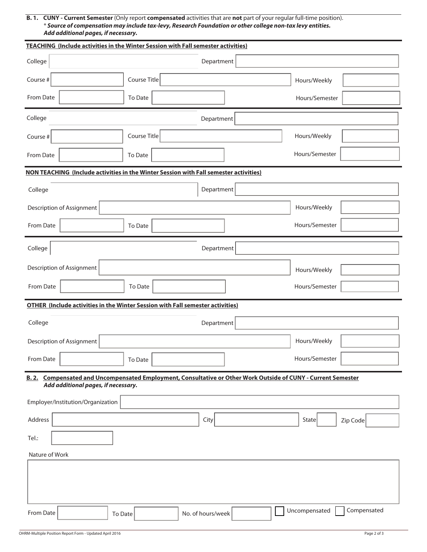**B. 1. CUNY - Current Semester** (Only report **compensated** activities that are **not** part of your regular full-time position). \* *Source of compensation may include tax-levy, Research Foundation or other college non-tax levy entities. Add additional pages, if necessary.*

| <b>TEACHING (Include activities in the Winter Session with Fall semester activities)</b>                                                             |              |                   |  |                |             |  |
|------------------------------------------------------------------------------------------------------------------------------------------------------|--------------|-------------------|--|----------------|-------------|--|
| College                                                                                                                                              |              | Department        |  |                |             |  |
| Course #                                                                                                                                             | Course Title |                   |  | Hours/Weekly   |             |  |
| From Date                                                                                                                                            | To Date      |                   |  | Hours/Semester |             |  |
| College                                                                                                                                              |              | Department        |  |                |             |  |
| Course #                                                                                                                                             | Course Title |                   |  | Hours/Weekly   |             |  |
| From Date                                                                                                                                            | To Date      |                   |  | Hours/Semester |             |  |
| NON TEACHING (Include activities in the Winter Session with Fall semester activities)                                                                |              |                   |  |                |             |  |
| Department<br>College                                                                                                                                |              |                   |  |                |             |  |
| Description of Assignment                                                                                                                            |              |                   |  | Hours/Weekly   |             |  |
| From Date                                                                                                                                            | To Date      |                   |  | Hours/Semester |             |  |
| College<br>Department                                                                                                                                |              |                   |  |                |             |  |
| Description of Assignment                                                                                                                            |              |                   |  | Hours/Weekly   |             |  |
| From Date                                                                                                                                            | To Date      |                   |  | Hours/Semester |             |  |
| <b>OTHER (Include activities in the Winter Session with Fall semester activities)</b>                                                                |              |                   |  |                |             |  |
|                                                                                                                                                      |              |                   |  |                |             |  |
| College<br>Department                                                                                                                                |              |                   |  |                |             |  |
| Description of Assignment                                                                                                                            |              |                   |  | Hours/Weekly   |             |  |
| From Date                                                                                                                                            | To Date      |                   |  | Hours/Semester |             |  |
| B. 2. Compensated and Uncompensated Employment, Consultative or Other Work Outside of CUNY - Current Semester<br>Add additional pages, if necessary. |              |                   |  |                |             |  |
| Employer/Institution/Organization                                                                                                                    |              |                   |  |                |             |  |
| Address                                                                                                                                              |              | City              |  | State          | Zip Code    |  |
| Tel.:                                                                                                                                                |              |                   |  |                |             |  |
| Nature of Work                                                                                                                                       |              |                   |  |                |             |  |
|                                                                                                                                                      |              |                   |  |                |             |  |
|                                                                                                                                                      |              |                   |  |                |             |  |
|                                                                                                                                                      |              |                   |  |                |             |  |
| From Date                                                                                                                                            | To Date      | No. of hours/week |  | Uncompensated  | Compensated |  |